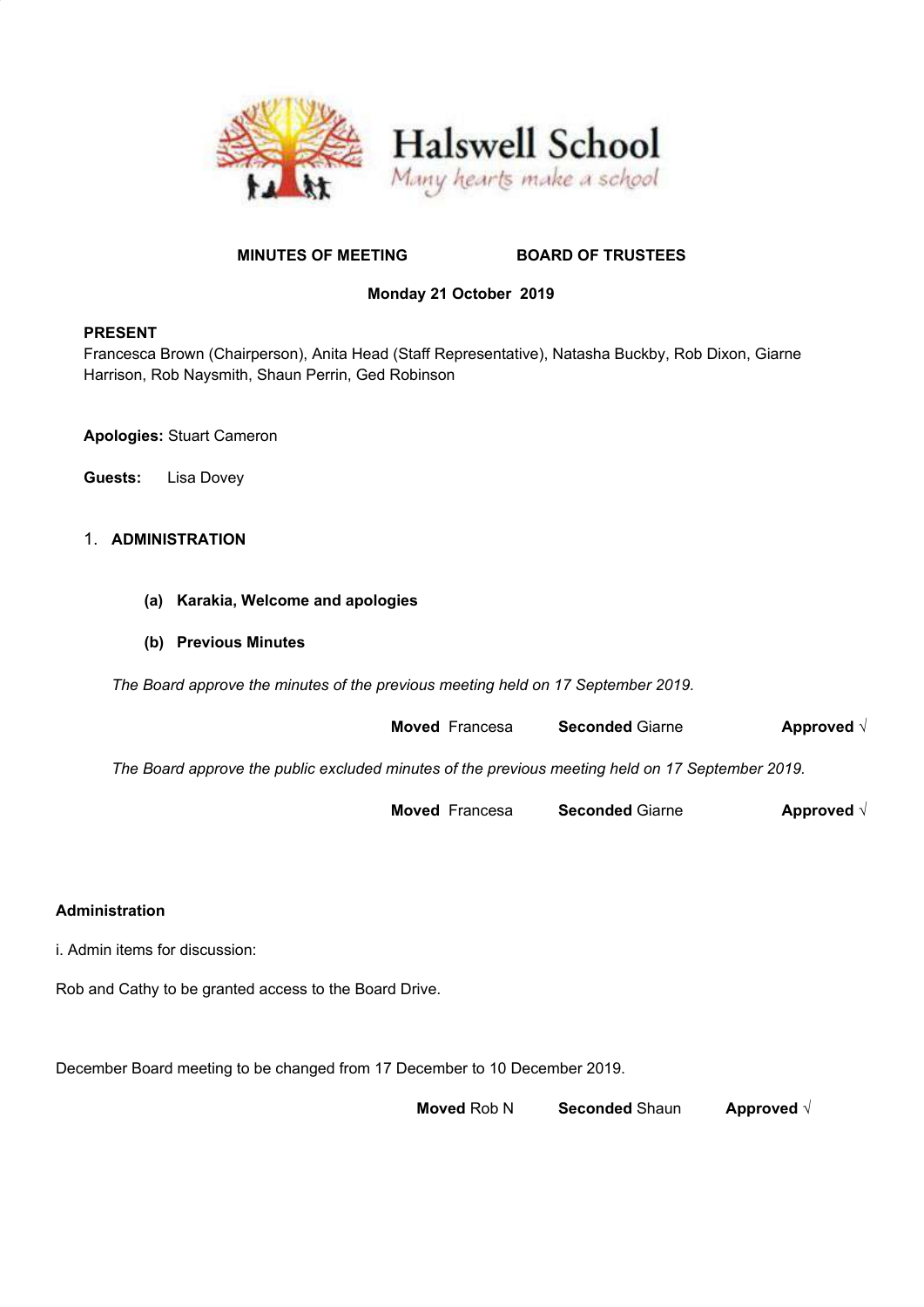



# **MINUTES OF MEETING BOARD OF TRUSTEES**

# **Monday 21 October 2019**

## **PRESENT**

Francesca Brown (Chairperson), Anita Head (Staff Representative), Natasha Buckby, Rob Dixon, Giarne Harrison, Rob Naysmith, Shaun Perrin, Ged Robinson

**Apologies:** Stuart Cameron

**Guests:** Lisa Dovey

# 1. **ADMINISTRATION**

- **(a) Karakia, Welcome and apologies**
- **(b) Previous Minutes**

*The Board approve the minutes of the previous meeting held on 17 September 2019.*

**Moved** Francesa **Seconded** Giarne **Approved** √

*The Board approve the public excluded minutes of the previous meeting held on 17 September 2019.*

**Moved** Francesa **Seconded** Giarne **Approved** √

### **Administration**

i. Admin items for discussion:

Rob and Cathy to be granted access to the Board Drive.

December Board meeting to be changed from 17 December to 10 December 2019.

**Moved** Rob N **Seconded** Shaun **Approved** √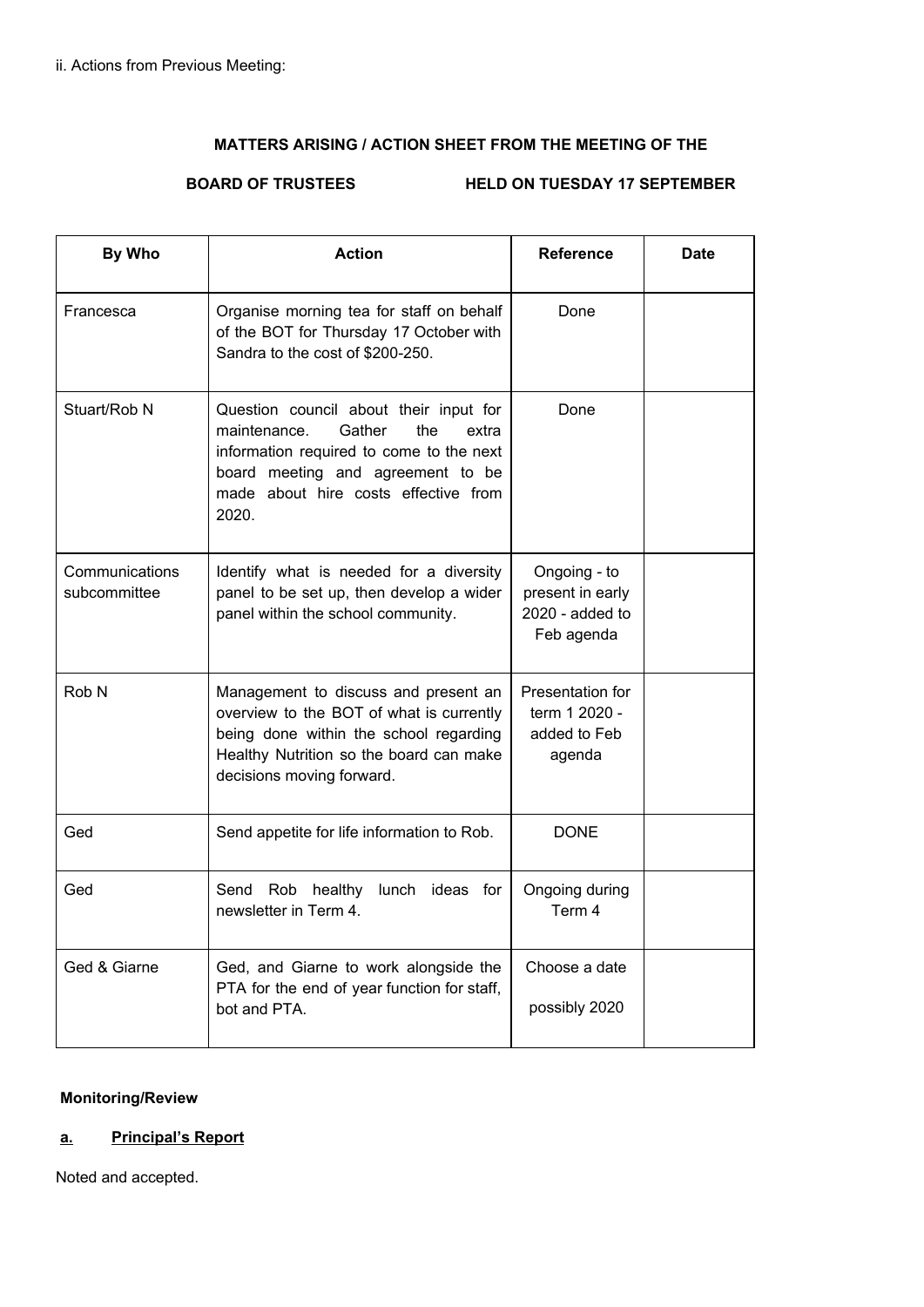# **MATTERS ARISING / ACTION SHEET FROM THE MEETING OF THE**

# **BOARD OF TRUSTEES HELD ON TUESDAY 17 SEPTEMBER**

| By Who                         | <b>Action</b>                                                                                                                                                                                                      | <b>Reference</b>                                                    | <b>Date</b> |
|--------------------------------|--------------------------------------------------------------------------------------------------------------------------------------------------------------------------------------------------------------------|---------------------------------------------------------------------|-------------|
| Francesca                      | Organise morning tea for staff on behalf<br>of the BOT for Thursday 17 October with<br>Sandra to the cost of \$200-250.                                                                                            | Done                                                                |             |
| Stuart/Rob N                   | Question council about their input for<br>Gather<br>the<br>maintenance.<br>extra<br>information required to come to the next<br>board meeting and agreement to be<br>made about hire costs effective from<br>2020. | Done                                                                |             |
| Communications<br>subcommittee | Identify what is needed for a diversity<br>panel to be set up, then develop a wider<br>panel within the school community.                                                                                          | Ongoing - to<br>present in early<br>$2020$ - added to<br>Feb agenda |             |
| Rob N                          | Management to discuss and present an<br>overview to the BOT of what is currently<br>being done within the school regarding<br>Healthy Nutrition so the board can make<br>decisions moving forward.                 | Presentation for<br>term 1 2020 -<br>added to Feb<br>agenda         |             |
| Ged                            | Send appetite for life information to Rob.                                                                                                                                                                         | <b>DONE</b>                                                         |             |
| Ged                            | Send Rob healthy lunch ideas for<br>newsletter in Term 4.                                                                                                                                                          | Ongoing during<br>Term 4                                            |             |
| Ged & Giarne                   | Ged, and Giarne to work alongside the<br>PTA for the end of year function for staff,<br>bot and PTA.                                                                                                               | Choose a date<br>possibly 2020                                      |             |

# **Monitoring/Review**

# **a. Principal's Report**

Noted and accepted.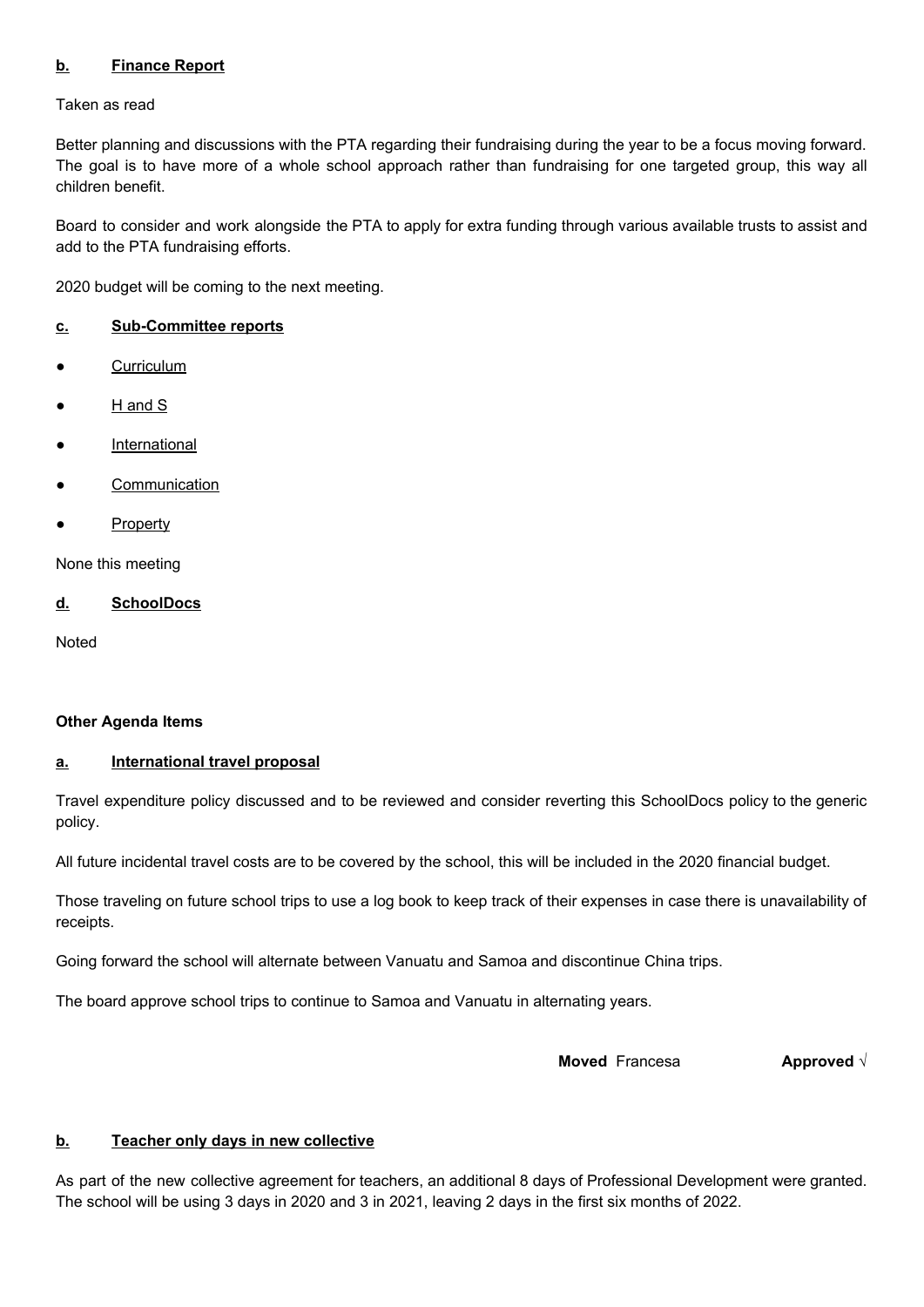# **b. Finance Report**

Taken as read

Better planning and discussions with the PTA regarding their fundraising during the year to be a focus moving forward. The goal is to have more of a whole school approach rather than fundraising for one targeted group, this way all children benefit.

Board to consider and work alongside the PTA to apply for extra funding through various available trusts to assist and add to the PTA fundraising efforts.

2020 budget will be coming to the next meeting.

### **c. Sub-Committee reports**

- Curriculum
- H and S
- **International**
- **Communication**
- **Property**

None this meeting

#### **d. SchoolDocs**

**Noted** 

### **Other Agenda Items**

#### **a. International travel proposal**

Travel expenditure policy discussed and to be reviewed and consider reverting this SchoolDocs policy to the generic policy.

All future incidental travel costs are to be covered by the school, this will be included in the 2020 financial budget.

Those traveling on future school trips to use a log book to keep track of their expenses in case there is unavailability of receipts.

Going forward the school will alternate between Vanuatu and Samoa and discontinue China trips.

The board approve school trips to continue to Samoa and Vanuatu in alternating years.

**Moved** Francesa **Approved** √

### **b. Teacher only days in new collective**

As part of the new collective agreement for teachers, an additional 8 days of Professional Development were granted. The school will be using 3 days in 2020 and 3 in 2021, leaving 2 days in the first six months of 2022.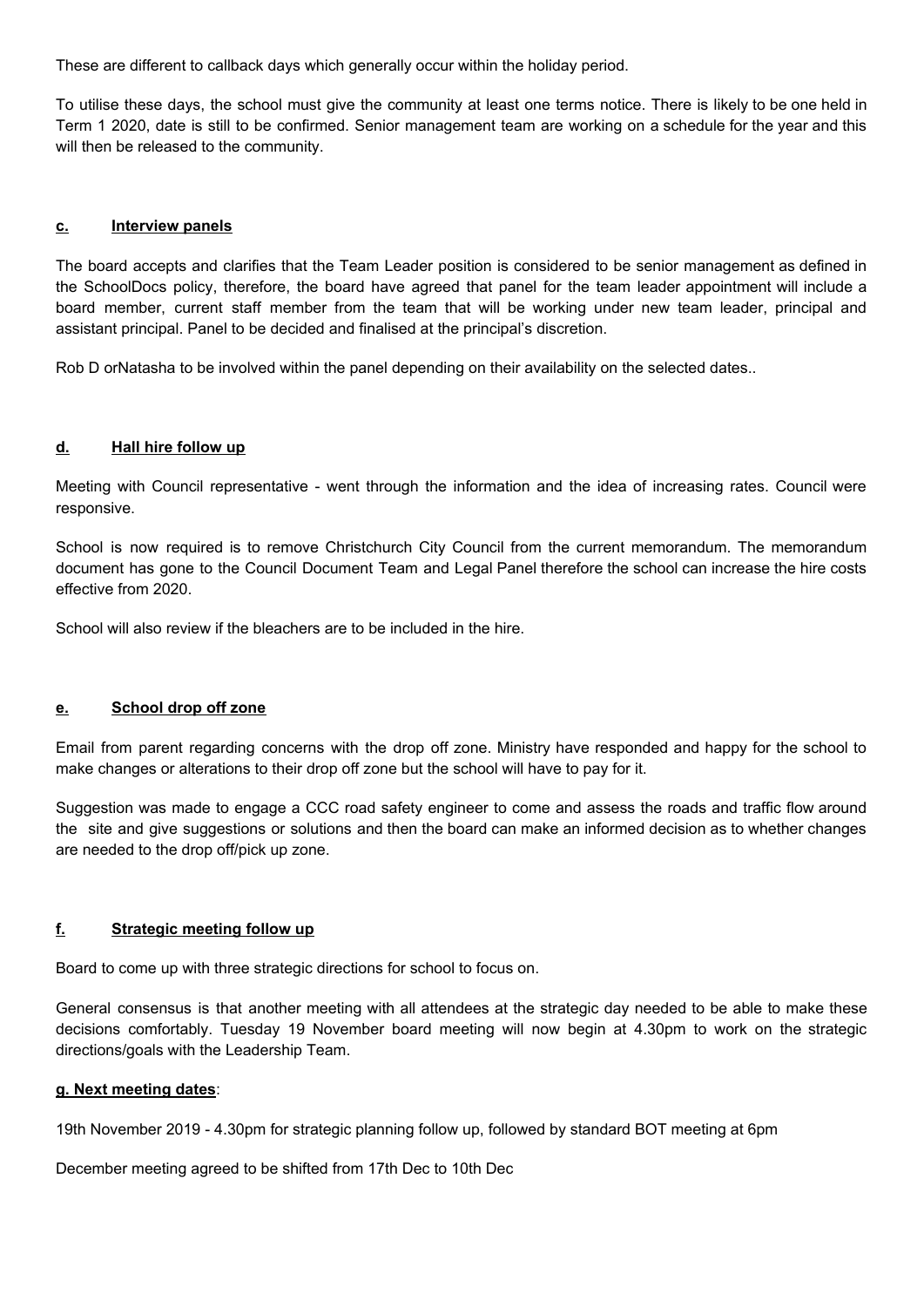These are different to callback days which generally occur within the holiday period.

To utilise these days, the school must give the community at least one terms notice. There is likely to be one held in Term 1 2020, date is still to be confirmed. Senior management team are working on a schedule for the year and this will then be released to the community.

#### **c. Interview panels**

The board accepts and clarifies that the Team Leader position is considered to be senior management as defined in the SchoolDocs policy, therefore, the board have agreed that panel for the team leader appointment will include a board member, current staff member from the team that will be working under new team leader, principal and assistant principal. Panel to be decided and finalised at the principal's discretion.

Rob D orNatasha to be involved within the panel depending on their availability on the selected dates..

#### **d. Hall hire follow up**

Meeting with Council representative - went through the information and the idea of increasing rates. Council were responsive.

School is now required is to remove Christchurch City Council from the current memorandum. The memorandum document has gone to the Council Document Team and Legal Panel therefore the school can increase the hire costs effective from 2020.

School will also review if the bleachers are to be included in the hire.

#### **e. School drop off zone**

Email from parent regarding concerns with the drop off zone. Ministry have responded and happy for the school to make changes or alterations to their drop off zone but the school will have to pay for it.

Suggestion was made to engage a CCC road safety engineer to come and assess the roads and traffic flow around the site and give suggestions or solutions and then the board can make an informed decision as to whether changes are needed to the drop off/pick up zone.

#### **f. Strategic meeting follow up**

Board to come up with three strategic directions for school to focus on.

General consensus is that another meeting with all attendees at the strategic day needed to be able to make these decisions comfortably. Tuesday 19 November board meeting will now begin at 4.30pm to work on the strategic directions/goals with the Leadership Team.

# **g. Next meeting dates**:

19th November 2019 - 4.30pm for strategic planning follow up, followed by standard BOT meeting at 6pm

December meeting agreed to be shifted from 17th Dec to 10th Dec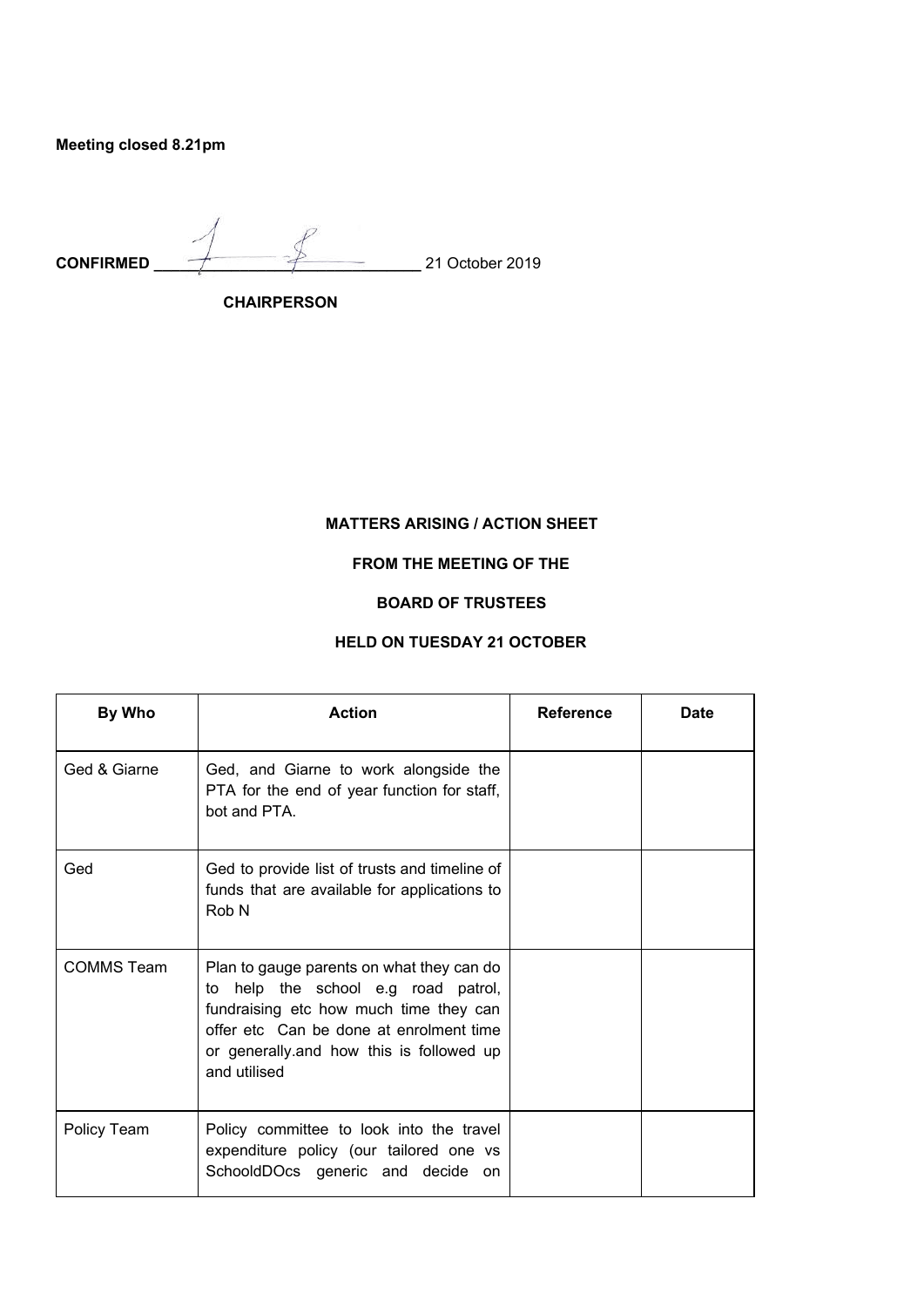**Meeting closed 8.21pm** 

**CONFIRMED \_\_\_\_\_\_\_\_\_\_\_\_\_\_\_\_\_\_\_\_\_\_\_\_\_\_\_\_\_\_\_** 21 October 2019

 **CHAIRPERSON** 

# **MATTERS ARISING / ACTION SHEET**

**FROM THE MEETING OF THE** 

# **BOARD OF TRUSTEES**

# **HELD ON TUESDAY 21 OCTOBER**

| By Who            | <b>Action</b>                                                                                                                                                                                                                      | <b>Reference</b> | Date |
|-------------------|------------------------------------------------------------------------------------------------------------------------------------------------------------------------------------------------------------------------------------|------------------|------|
| Ged & Giarne      | Ged, and Giarne to work alongside the<br>PTA for the end of year function for staff,<br>bot and PTA.                                                                                                                               |                  |      |
| Ged               | Ged to provide list of trusts and timeline of<br>funds that are available for applications to<br>Rob N                                                                                                                             |                  |      |
| <b>COMMS Team</b> | Plan to gauge parents on what they can do<br>to help the school e.g road patrol,<br>fundraising etc how much time they can<br>offer etc. Can be done at enrolment time<br>or generally and how this is followed up<br>and utilised |                  |      |
| Policy Team       | Policy committee to look into the travel<br>expenditure policy (our tailored one vs<br>SchooldDOcs generic and decide<br>on.                                                                                                       |                  |      |